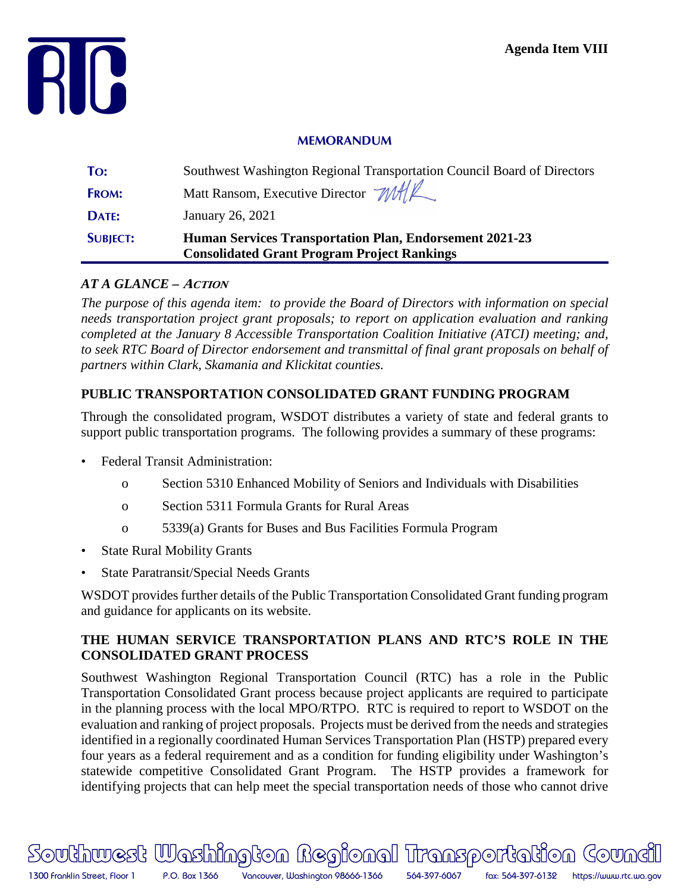

#### **MEMORANDUM**

| <b>SUBJECT:</b> | <b>Human Services Transportation Plan, Endorsement 2021-23</b><br><b>Consolidated Grant Program Project Rankings</b> |
|-----------------|----------------------------------------------------------------------------------------------------------------------|
| DATE:           | January 26, 2021                                                                                                     |
| <b>FROM:</b>    | Matt Ransom, Executive Director MALL                                                                                 |
| To:             | Southwest Washington Regional Transportation Council Board of Directors                                              |

### *AT A GLANCE –* **ACTION**

*The purpose of this agenda item: to provide the Board of Directors with information on special needs transportation project grant proposals; to report on application evaluation and ranking completed at the January 8 Accessible Transportation Coalition Initiative (ATCI) meeting; and, to seek RTC Board of Director endorsement and transmittal of final grant proposals on behalf of partners within Clark, Skamania and Klickitat counties.*

# **PUBLIC TRANSPORTATION CONSOLIDATED GRANT FUNDING PROGRAM**

Through the consolidated program, WSDOT distributes a variety of state and federal grants to support public transportation programs. The following provides a summary of these programs:

- Federal Transit Administration:
	- o Section 5310 Enhanced Mobility of Seniors and Individuals with Disabilities
	- o Section 5311 Formula Grants for Rural Areas
	- o 5339(a) Grants for Buses and Bus Facilities Formula Program
- **State Rural Mobility Grants**
- State Paratransit/Special Needs Grants

WSDOT provides further details of the Public Transportation Consolidated Grant funding program and guidance for applicants on its website.

### **THE HUMAN SERVICE TRANSPORTATION PLANS AND RTC'S ROLE IN THE CONSOLIDATED GRANT PROCESS**

Southwest Washington Regional Transportation Council (RTC) has a role in the Public Transportation Consolidated Grant process because project applicants are required to participate in the planning process with the local MPO/RTPO. RTC is required to report to WSDOT on the evaluation and ranking of project proposals. Projects must be derived from the needs and strategies identified in a regionally coordinated Human Services Transportation Plan (HSTP) prepared every four years as a federal requirement and as a condition for funding eligibility under Washington's statewide competitive Consolidated Grant Program. The HSTP provides a framework for identifying projects that can help meet the special transportation needs of those who cannot drive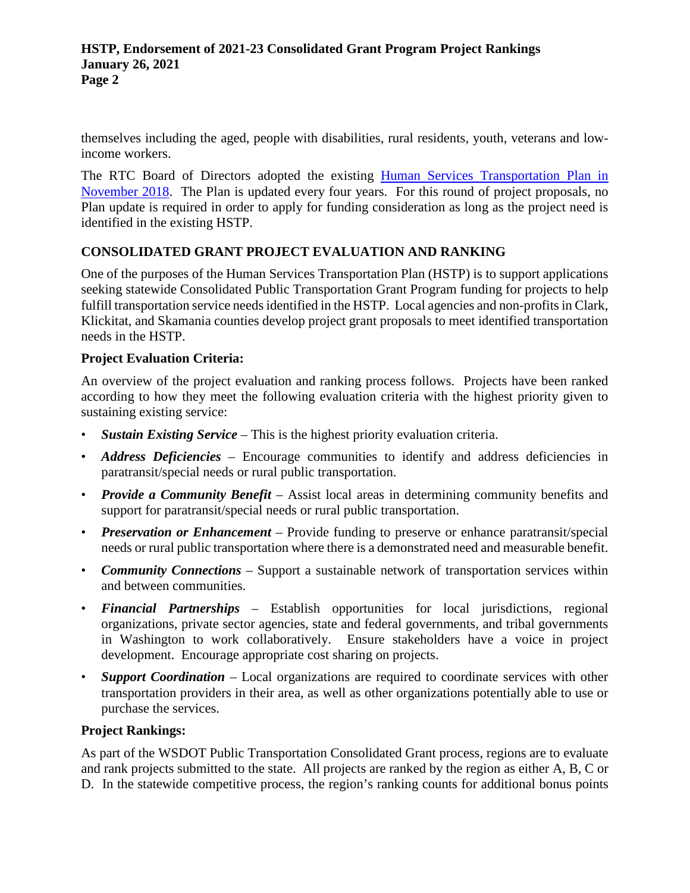themselves including the aged, people with disabilities, rural residents, youth, veterans and lowincome workers.

The RTC Board of Directors adopted the existing [Human Services Transportation Plan in](https://rtc.wa.gov/programs/hstp/docs/HSTP-Adopted-20181106.pdf)  [November 2018.](https://rtc.wa.gov/programs/hstp/docs/HSTP-Adopted-20181106.pdf) The Plan is updated every four years. For this round of project proposals, no Plan update is required in order to apply for funding consideration as long as the project need is identified in the existing HSTP.

# **CONSOLIDATED GRANT PROJECT EVALUATION AND RANKING**

One of the purposes of the Human Services Transportation Plan (HSTP) is to support applications seeking statewide Consolidated Public Transportation Grant Program funding for projects to help fulfill transportation service needs identified in the HSTP. Local agencies and non-profits in Clark, Klickitat, and Skamania counties develop project grant proposals to meet identified transportation needs in the HSTP.

### **Project Evaluation Criteria:**

An overview of the project evaluation and ranking process follows. Projects have been ranked according to how they meet the following evaluation criteria with the highest priority given to sustaining existing service:

- *Sustain Existing Service* This is the highest priority evaluation criteria.
- *Address Deficiencies* Encourage communities to identify and address deficiencies in paratransit/special needs or rural public transportation.
- *Provide a Community Benefit* Assist local areas in determining community benefits and support for paratransit/special needs or rural public transportation.
- *Preservation or Enhancement* Provide funding to preserve or enhance paratransit/special needs or rural public transportation where there is a demonstrated need and measurable benefit.
- *Community Connections* Support a sustainable network of transportation services within and between communities.
- *Financial Partnerships* Establish opportunities for local jurisdictions, regional organizations, private sector agencies, state and federal governments, and tribal governments in Washington to work collaboratively. Ensure stakeholders have a voice in project development. Encourage appropriate cost sharing on projects.
- *Support Coordination* Local organizations are required to coordinate services with other transportation providers in their area, as well as other organizations potentially able to use or purchase the services.

#### **Project Rankings:**

As part of the WSDOT Public Transportation Consolidated Grant process, regions are to evaluate and rank projects submitted to the state. All projects are ranked by the region as either A, B, C or D. In the statewide competitive process, the region's ranking counts for additional bonus points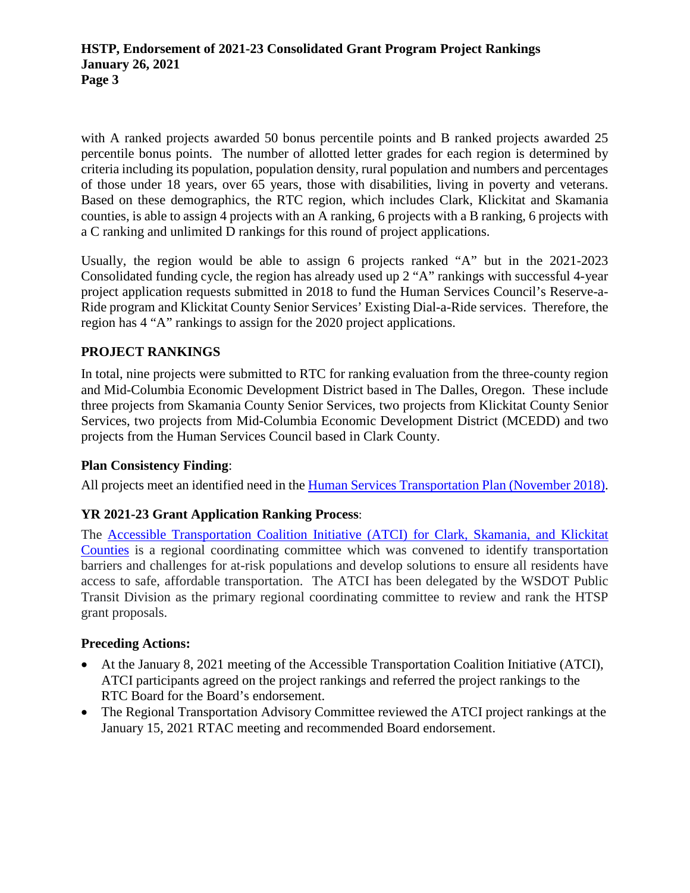with A ranked projects awarded 50 bonus percentile points and B ranked projects awarded 25 percentile bonus points. The number of allotted letter grades for each region is determined by criteria including its population, population density, rural population and numbers and percentages of those under 18 years, over 65 years, those with disabilities, living in poverty and veterans. Based on these demographics, the RTC region, which includes Clark, Klickitat and Skamania counties, is able to assign 4 projects with an A ranking, 6 projects with a B ranking, 6 projects with a C ranking and unlimited D rankings for this round of project applications.

Usually, the region would be able to assign 6 projects ranked "A" but in the 2021-2023 Consolidated funding cycle, the region has already used up 2 "A" rankings with successful 4-year project application requests submitted in 2018 to fund the Human Services Council's Reserve-a-Ride program and Klickitat County Senior Services' Existing Dial-a-Ride services. Therefore, the region has 4 "A" rankings to assign for the 2020 project applications.

### **PROJECT RANKINGS**

In total, nine projects were submitted to RTC for ranking evaluation from the three-county region and Mid-Columbia Economic Development District based in The Dalles, Oregon. These include three projects from Skamania County Senior Services, two projects from Klickitat County Senior Services, two projects from Mid-Columbia Economic Development District (MCEDD) and two projects from the Human Services Council based in Clark County.

### **Plan Consistency Finding**:

All projects meet an identified need in the [Human Services Transportation Plan \(November 2018\).](https://rtc.wa.gov/programs/hstp/docs/HSTP-Adopted-20181106.pdf)

# **YR 2021-23 Grant Application Ranking Process**:

The Accessible Transportation Coalition Initiative [\(ATCI\) for Clark, Skamania, and Klickitat](https://www.facebook.com/AccessibleTransportationCoalition/)  [Counties](https://www.facebook.com/AccessibleTransportationCoalition/) is a regional coordinating committee which was convened to identify transportation barriers and challenges for at-risk populations and develop solutions to ensure all residents have access to safe, affordable transportation. The ATCI has been delegated by the WSDOT Public Transit Division as the primary regional coordinating committee to review and rank the HTSP grant proposals.

### **Preceding Actions:**

- At the January 8, 2021 meeting of the Accessible Transportation Coalition Initiative (ATCI), ATCI participants agreed on the project rankings and referred the project rankings to the RTC Board for the Board's endorsement.
- The Regional Transportation Advisory Committee reviewed the ATCI project rankings at the January 15, 2021 RTAC meeting and recommended Board endorsement.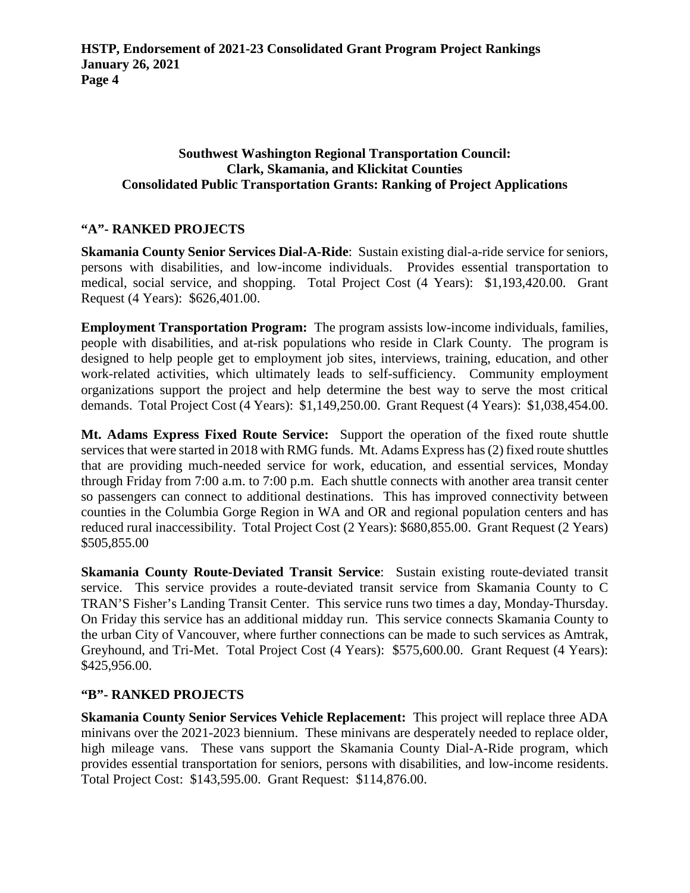### **Southwest Washington Regional Transportation Council: Clark, Skamania, and Klickitat Counties Consolidated Public Transportation Grants: Ranking of Project Applications**

### **"A"- RANKED PROJECTS**

**Skamania County Senior Services Dial-A-Ride**: Sustain existing dial-a-ride service for seniors, persons with disabilities, and low-income individuals. Provides essential transportation to medical, social service, and shopping. Total Project Cost (4 Years): \$1,193,420.00. Grant Request (4 Years): \$626,401.00.

**Employment Transportation Program:** The program assists low-income individuals, families, people with disabilities, and at-risk populations who reside in Clark County. The program is designed to help people get to employment job sites, interviews, training, education, and other work-related activities, which ultimately leads to self-sufficiency. Community employment organizations support the project and help determine the best way to serve the most critical demands. Total Project Cost (4 Years): \$1,149,250.00. Grant Request (4 Years): \$1,038,454.00.

**Mt. Adams Express Fixed Route Service:** Support the operation of the fixed route shuttle services that were started in 2018 with RMG funds. Mt. Adams Express has (2) fixed route shuttles that are providing much-needed service for work, education, and essential services, Monday through Friday from 7:00 a.m. to 7:00 p.m. Each shuttle connects with another area transit center so passengers can connect to additional destinations. This has improved connectivity between counties in the Columbia Gorge Region in WA and OR and regional population centers and has reduced rural inaccessibility. Total Project Cost (2 Years): \$680,855.00. Grant Request (2 Years) \$505,855.00

**Skamania County Route-Deviated Transit Service**: Sustain existing route-deviated transit service. This service provides a route-deviated transit service from Skamania County to C TRAN'S Fisher's Landing Transit Center. This service runs two times a day, Monday-Thursday. On Friday this service has an additional midday run. This service connects Skamania County to the urban City of Vancouver, where further connections can be made to such services as Amtrak, Greyhound, and Tri-Met. Total Project Cost (4 Years): \$575,600.00. Grant Request (4 Years): \$425,956.00.

#### **"B"- RANKED PROJECTS**

**Skamania County Senior Services Vehicle Replacement:** This project will replace three ADA minivans over the 2021-2023 biennium. These minivans are desperately needed to replace older, high mileage vans. These vans support the Skamania County Dial-A-Ride program, which provides essential transportation for seniors, persons with disabilities, and low-income residents. Total Project Cost: \$143,595.00. Grant Request: \$114,876.00.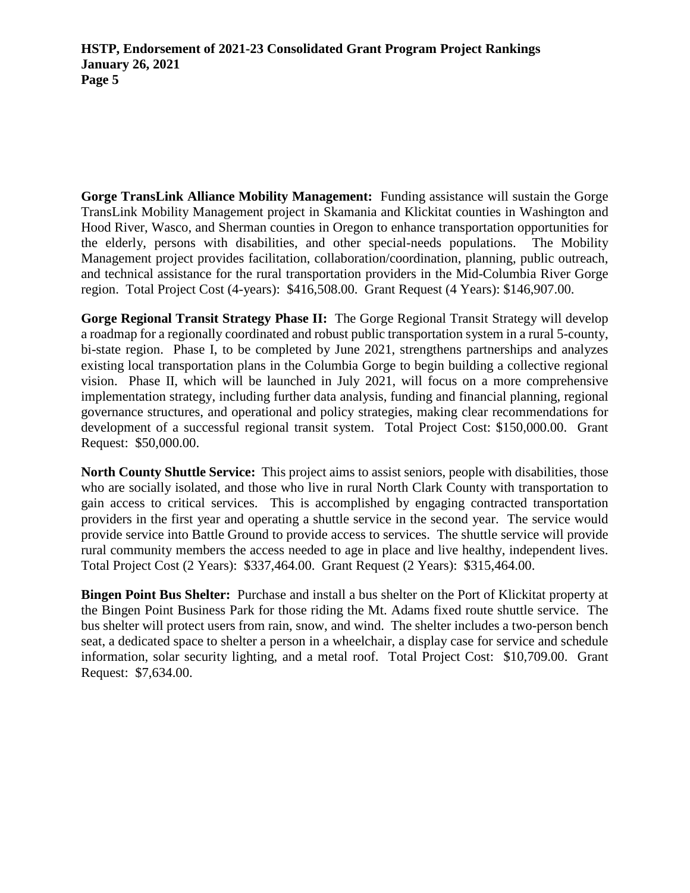**Gorge TransLink Alliance Mobility Management:** Funding assistance will sustain the Gorge TransLink Mobility Management project in Skamania and Klickitat counties in Washington and Hood River, Wasco, and Sherman counties in Oregon to enhance transportation opportunities for the elderly, persons with disabilities, and other special-needs populations. The Mobility Management project provides facilitation, collaboration/coordination, planning, public outreach, and technical assistance for the rural transportation providers in the Mid-Columbia River Gorge region. Total Project Cost (4-years): \$416,508.00. Grant Request (4 Years): \$146,907.00.

**Gorge Regional Transit Strategy Phase II:** The Gorge Regional Transit Strategy will develop a roadmap for a regionally coordinated and robust public transportation system in a rural 5-county, bi-state region. Phase I, to be completed by June 2021, strengthens partnerships and analyzes existing local transportation plans in the Columbia Gorge to begin building a collective regional vision. Phase II, which will be launched in July 2021, will focus on a more comprehensive implementation strategy, including further data analysis, funding and financial planning, regional governance structures, and operational and policy strategies, making clear recommendations for development of a successful regional transit system. Total Project Cost: \$150,000.00. Grant Request: \$50,000.00.

**North County Shuttle Service:** This project aims to assist seniors, people with disabilities, those who are socially isolated, and those who live in rural North Clark County with transportation to gain access to critical services. This is accomplished by engaging contracted transportation providers in the first year and operating a shuttle service in the second year. The service would provide service into Battle Ground to provide access to services. The shuttle service will provide rural community members the access needed to age in place and live healthy, independent lives. Total Project Cost (2 Years): \$337,464.00. Grant Request (2 Years): \$315,464.00.

**Bingen Point Bus Shelter:** Purchase and install a bus shelter on the Port of Klickitat property at the Bingen Point Business Park for those riding the Mt. Adams fixed route shuttle service. The bus shelter will protect users from rain, snow, and wind. The shelter includes a two-person bench seat, a dedicated space to shelter a person in a wheelchair, a display case for service and schedule information, solar security lighting, and a metal roof. Total Project Cost: \$10,709.00. Grant Request: \$7,634.00.